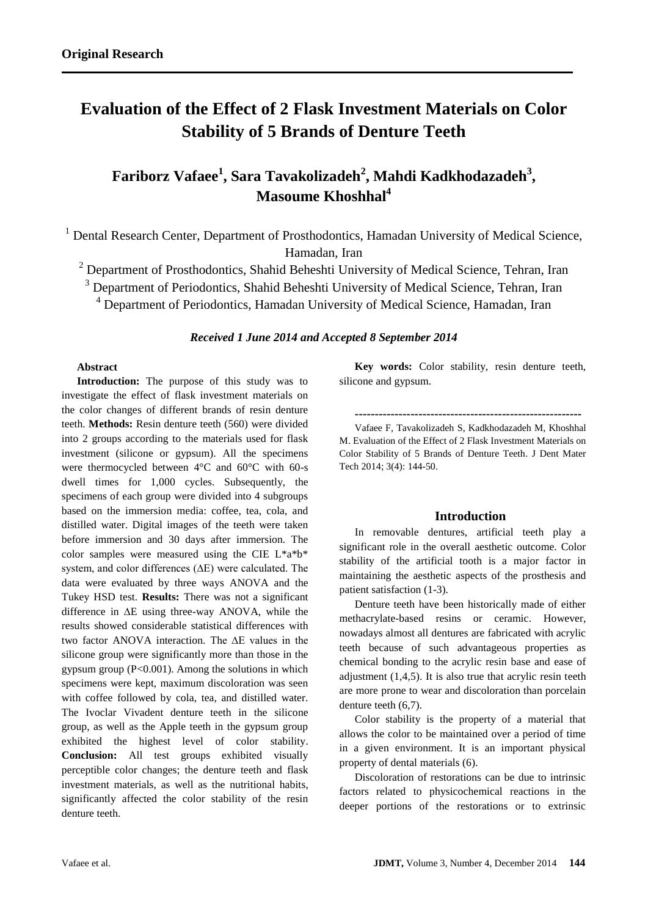# **Evaluation of the Effect of 2 Flask Investment Materials on Color Stability of 5 Brands of Denture Teeth**

## **Fariborz Vafaee<sup>1</sup> , Sara Tavakolizadeh<sup>2</sup> , Mahdi Kadkhodazadeh<sup>3</sup> , Masoume Khoshhal<sup>4</sup>**

<sup>1</sup> Dental Research Center, Department of Prosthodontics, Hamadan University of Medical Science, Hamadan, Iran

 $2$  Department of Prosthodontics, Shahid Beheshti University of Medical Science, Tehran, Iran

<sup>3</sup> Department of Periodontics, Shahid Beheshti University of Medical Science, Tehran, Iran

<sup>4</sup> Department of Periodontics, Hamadan University of Medical Science, Hamadan, Iran

#### *Received 1 June 2014 and Accepted 8 September 2014*

#### **Abstract**

**Introduction:** The purpose of this study was to investigate the effect of flask investment materials on the color changes of different brands of resin denture teeth. **Methods:** Resin denture teeth (560) were divided into 2 groups according to the materials used for flask investment (silicone or gypsum). All the specimens were thermocycled between 4°C and 60°C with 60-s dwell times for 1,000 cycles. Subsequently, the specimens of each group were divided into 4 subgroups based on the immersion media: coffee, tea, cola, and distilled water. Digital images of the teeth were taken before immersion and 30 days after immersion. The color samples were measured using the CIE L\*a\*b\* system, and color differences (∆E) were calculated. The data were evaluated by three ways ANOVA and the Tukey HSD test. **Results:** There was not a significant difference in ∆E using three-way ANOVA, while the results showed considerable statistical differences with two factor ANOVA interaction. The ∆E values in the silicone group were significantly more than those in the gypsum group  $(P<0.001)$ . Among the solutions in which specimens were kept, maximum discoloration was seen with coffee followed by cola, tea, and distilled water. The Ivoclar Vivadent denture teeth in the silicone group, as well as the Apple teeth in the gypsum group exhibited the highest level of color stability. **Conclusion:** All test groups exhibited visually perceptible color changes; the denture teeth and flask investment materials, as well as the nutritional habits, significantly affected the color stability of the resin denture teeth.

**Key words:** Color stability, resin denture teeth, silicone and gypsum.

**---------------------------------------------------------**

Vafaee F, Tavakolizadeh S, Kadkhodazadeh M, Khoshhal M. Evaluation of the Effect of 2 Flask Investment Materials on Color Stability of 5 Brands of Denture Teeth. J Dent Mater Tech 2014; 3(4): 144-50.

#### **Introduction**

In removable dentures, artificial teeth play a significant role in the overall aesthetic outcome. Color stability of the artificial tooth is a major factor in maintaining the aesthetic aspects of the prosthesis and patient satisfaction (1-3).

Denture teeth have been historically made of either methacrylate-based resins or ceramic. However, nowadays almost all dentures are fabricated with acrylic teeth because of such advantageous properties as chemical bonding to the acrylic resin base and ease of adjustment (1,4,5). It is also true that acrylic resin teeth are more prone to wear and discoloration than porcelain denture teeth (6,7).

Color stability is the property of a material that allows the color to be maintained over a period of time in a given environment. It is an important physical property of dental materials (6).

Discoloration of restorations can be due to intrinsic factors related to physicochemical reactions in the deeper portions of the restorations or to extrinsic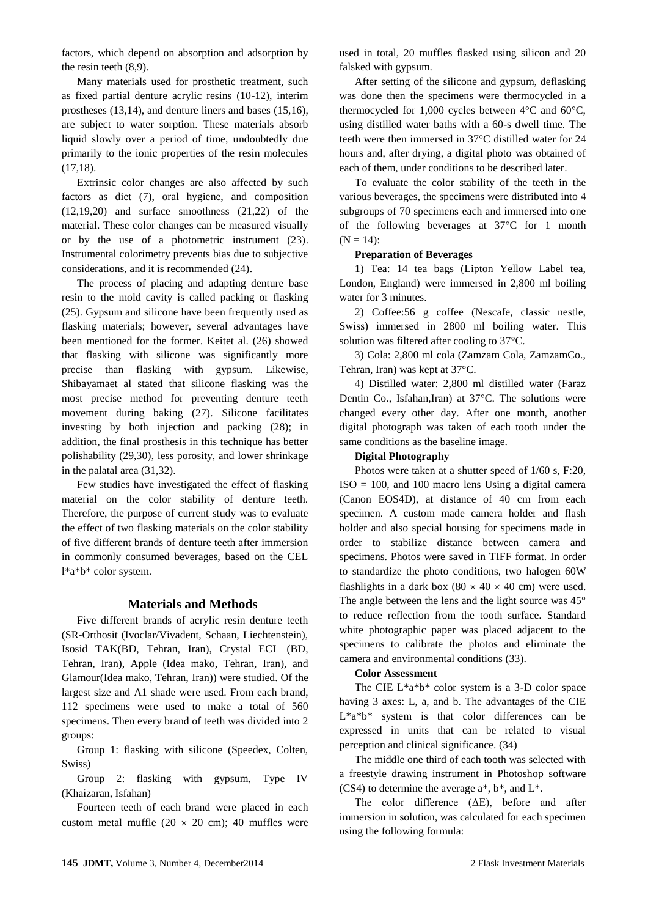factors, which depend on absorption and adsorption by the resin teeth (8,9).

Many materials used for prosthetic treatment, such as fixed partial denture acrylic resins (10-12), interim prostheses (13,14), and denture liners and bases (15,16), are subject to water sorption. These materials absorb liquid slowly over a period of time, undoubtedly due primarily to the ionic properties of the resin molecules (17,18).

Extrinsic color changes are also affected by such factors as diet (7), oral hygiene, and composition (12,19,20) and surface smoothness (21,22) of the material. These color changes can be measured visually or by the use of a photometric instrument (23). Instrumental colorimetry prevents bias due to subjective considerations, and it is recommended (24).

The process of placing and adapting denture base resin to the mold cavity is called packing or flasking (25). Gypsum and silicone have been frequently used as flasking materials; however, several advantages have been mentioned for the former. Keitet al. (26) showed that flasking with silicone was significantly more precise than flasking with gypsum. Likewise, Shibayamaet al stated that silicone flasking was the most precise method for preventing denture teeth movement during baking (27). Silicone facilitates investing by both injection and packing (28); in addition, the final prosthesis in this technique has better polishability (29,30), less porosity, and lower shrinkage in the palatal area (31,32).

Few studies have investigated the effect of flasking material on the color stability of denture teeth. Therefore, the purpose of current study was to evaluate the effect of two flasking materials on the color stability of five different brands of denture teeth after immersion in commonly consumed beverages, based on the CEL l\*a\*b\* color system.

#### **Materials and Methods**

Five different brands of acrylic resin denture teeth (SR-Orthosit (Ivoclar/Vivadent, Schaan, Liechtenstein), Isosid TAK(BD, Tehran, Iran), Crystal ECL (BD, Tehran, Iran), Apple (Idea mako, Tehran, Iran), and Glamour(Idea mako, Tehran, Iran)) were studied. Of the largest size and A1 shade were used. From each brand, 112 specimens were used to make a total of 560 specimens. Then every brand of teeth was divided into 2 groups:

Group 1: flasking with silicone (Speedex, Colten, Swiss)

Group 2: flasking with gypsum, Type IV (Khaizaran, Isfahan)

Fourteen teeth of each brand were placed in each custom metal muffle (20  $\times$  20 cm); 40 muffles were

used in total, 20 muffles flasked using silicon and 20 falsked with gypsum.

After setting of the silicone and gypsum, deflasking was done then the specimens were thermocycled in a thermocycled for 1,000 cycles between 4°C and 60°C, using distilled water baths with a 60-s dwell time. The teeth were then immersed in 37°C distilled water for 24 hours and, after drying, a digital photo was obtained of each of them, under conditions to be described later.

To evaluate the color stability of the teeth in the various beverages, the specimens were distributed into 4 subgroups of 70 specimens each and immersed into one of the following beverages at 37°C for 1 month  $(N = 14)$ :

#### **Preparation of Beverages**

1) Tea: 14 tea bags (Lipton Yellow Label tea, London, England) were immersed in 2,800 ml boiling water for 3 minutes.

2) Coffee:56 g coffee (Nescafe, classic nestle, Swiss) immersed in 2800 ml boiling water. This solution was filtered after cooling to 37°C.

3) Cola: 2,800 ml cola (Zamzam Cola, ZamzamCo., Tehran, Iran) was kept at 37°C.

4) Distilled water: 2,800 ml distilled water (Faraz Dentin Co., Isfahan,Iran) at 37°C. The solutions were changed every other day. After one month, another digital photograph was taken of each tooth under the same conditions as the baseline image.

#### **Digital Photography**

Photos were taken at a shutter speed of 1/60 s, F:20,  $ISO = 100$ , and 100 macro lens Using a digital camera (Canon EOS4D), at distance of 40 cm from each specimen. A custom made camera holder and flash holder and also special housing for specimens made in order to stabilize distance between camera and specimens. Photos were saved in TIFF format. In order to standardize the photo conditions, two halogen 60W flashlights in a dark box (80  $\times$  40  $\times$  40 cm) were used. The angle between the lens and the light source was 45° to reduce reflection from the tooth surface. Standard white photographic paper was placed adjacent to the specimens to calibrate the photos and eliminate the camera and environmental conditions (33).

#### **Color Assessment**

The CIE L\*a\*b\* color system is a 3-D color space having 3 axes: L, a, and b. The advantages of the CIE L\*a\*b\* system is that color differences can be expressed in units that can be related to visual perception and clinical significance. (34)

The middle one third of each tooth was selected with a freestyle drawing instrument in Photoshop software  $(CS4)$  to determine the average  $a^*$ ,  $b^*$ , and  $L^*$ .

The color difference (ΔE), before and after immersion in solution, was calculated for each specimen using the following formula: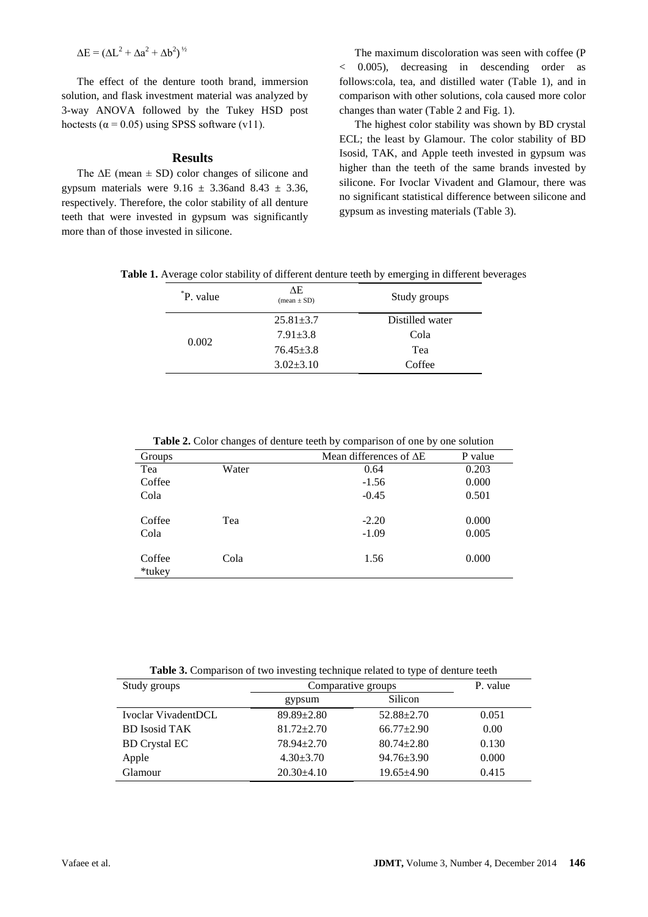$\Delta E = (\Delta L^2 + \Delta a^2 + \Delta b^2)^{1/2}$ 

The effect of the denture tooth brand, immersion solution, and flask investment material was analyzed by 3-way ANOVA followed by the Tukey HSD post hoctests ( $\alpha$  = 0.05) using SPSS software (v11).

#### **Results**

The  $\Delta E$  (mean  $\pm$  SD) color changes of silicone and gypsum materials were  $9.16 \pm 3.36$  and  $8.43 \pm 3.36$ , respectively. Therefore, the color stability of all denture teeth that were invested in gypsum was significantly more than of those invested in silicone.

The maximum discoloration was seen with coffee (P < 0.005), decreasing in descending order as follows:cola, tea, and distilled water (Table 1), and in comparison with other solutions, cola caused more color changes than water (Table 2 and Fig. 1).

The highest color stability was shown by BD crystal ECL; the least by Glamour. The color stability of BD Isosid, TAK, and Apple teeth invested in gypsum was higher than the teeth of the same brands invested by silicone. For Ivoclar Vivadent and Glamour, there was no significant statistical difference between silicone and gypsum as investing materials (Table 3).

**Table 1.** Average color stability of different denture teeth by emerging in different beverages

| P. value | ΛE<br>$mean \pm SD$ | Study groups    |
|----------|---------------------|-----------------|
| 0.002    | $25.81 + 3.7$       | Distilled water |
|          | $7.91 \pm 3.8$      | Cola            |
|          | $76.45 \pm 3.8$     | Tea             |
|          | $3.02 + 3.10$       | Coffee          |

**Table 2.** Color changes of denture teeth by comparison of one by one solution

| Groups           |       | Mean differences of $\Delta E$ | P value |
|------------------|-------|--------------------------------|---------|
| Tea              | Water | 0.64                           | 0.203   |
| Coffee           |       | $-1.56$                        | 0.000   |
| Cola             |       | $-0.45$                        | 0.501   |
| Coffee           | Tea   | $-2.20$                        | 0.000   |
| Cola             |       | $-1.09$                        | 0.005   |
| Coffee<br>*tukey | Cola  | 1.56                           | 0.000   |

**Table 3.** Comparison of two investing technique related to type of denture teeth

| Study groups         | Comparative groups | P. value         |       |
|----------------------|--------------------|------------------|-------|
|                      | gypsum             | Silicon          |       |
| Ivoclar VivadentDCL  | $89.89 + 2.80$     | $52.88 \pm 2.70$ | 0.051 |
| <b>BD</b> Isosid TAK | $81.72 \pm 2.70$   | $66.77 + 2.90$   | 0.00  |
| <b>BD</b> Crystal EC | $78.94 + 2.70$     | $80.74 + 2.80$   | 0.130 |
| Apple                | $4.30 + 3.70$      | $94.76 \pm 3.90$ | 0.000 |
| Glamour              | $20.30\pm4.10$     | $19.65 \pm 4.90$ | 0.415 |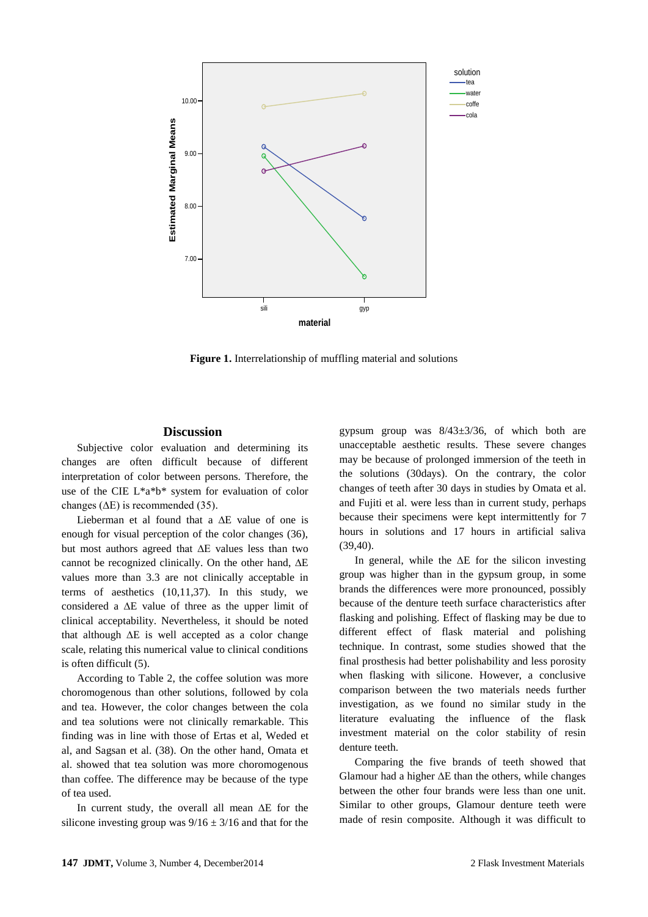

**Figure 1.** Interrelationship of muffling material and solutions

#### **Discussion**

Subjective color evaluation and determining its changes are often difficult because of different interpretation of color between persons. Therefore, the use of the CIE L\*a\*b\* system for evaluation of color changes ( $\Delta E$ ) is recommended (35).

Lieberman et al found that a ∆E value of one is enough for visual perception of the color changes (36), but most authors agreed that ∆E values less than two cannot be recognized clinically. On the other hand, ∆E values more than 3.3 are not clinically acceptable in terms of aesthetics (10,11,37). In this study, we considered a ∆E value of three as the upper limit of clinical acceptability. Nevertheless, it should be noted that although ∆E is well accepted as a color change scale, relating this numerical value to clinical conditions is often difficult (5).

According to Table 2, the coffee solution was more choromogenous than other solutions, followed by cola and tea. However, the color changes between the cola and tea solutions were not clinically remarkable. This finding was in line with those of Ertas et al, Weded et al, and Sagsan et al. (38). On the other hand, Omata et al. showed that tea solution was more choromogenous than coffee. The difference may be because of the type of tea used.

In current study, the overall all mean ∆E for the silicone investing group was  $9/16 \pm 3/16$  and that for the gypsum group was 8/43±3/36, of which both are unacceptable aesthetic results. These severe changes may be because of prolonged immersion of the teeth in the solutions (30days). On the contrary, the color changes of teeth after 30 days in studies by Omata et al. and Fujiti et al. were less than in current study, perhaps because their specimens were kept intermittently for 7 hours in solutions and 17 hours in artificial saliva (39,40).

In general, while the ∆E for the silicon investing group was higher than in the gypsum group, in some brands the differences were more pronounced, possibly because of the denture teeth surface characteristics after flasking and polishing. Effect of flasking may be due to different effect of flask material and polishing technique. In contrast, some studies showed that the final prosthesis had better polishability and less porosity when flasking with silicone. However, a conclusive comparison between the two materials needs further investigation, as we found no similar study in the literature evaluating the influence of the flask investment material on the color stability of resin denture teeth.

Comparing the five brands of teeth showed that Glamour had a higher ∆E than the others, while changes between the other four brands were less than one unit. Similar to other groups, Glamour denture teeth were made of resin composite. Although it was difficult to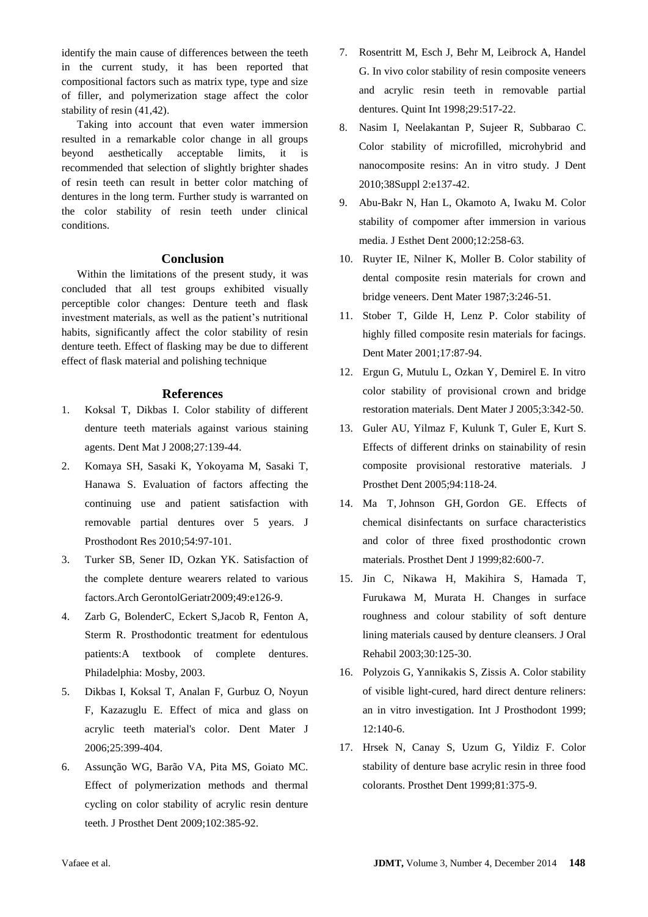identify the main cause of differences between the teeth in the current study, it has been reported that compositional factors such as matrix type, type and size of filler, and polymerization stage affect the color stability of resin (41,42).

Taking into account that even water immersion resulted in a remarkable color change in all groups beyond aesthetically acceptable limits, it is recommended that selection of slightly brighter shades of resin teeth can result in better color matching of dentures in the long term. Further study is warranted on the color stability of resin teeth under clinical conditions.

### **Conclusion**

Within the limitations of the present study, it was concluded that all test groups exhibited visually perceptible color changes: Denture teeth and flask investment materials, as well as the patient's nutritional habits, significantly affect the color stability of resin denture teeth. Effect of flasking may be due to different effect of flask material and polishing technique

#### **References**

- 1. Koksal T, Dikbas I. Color stability of different denture teeth materials against various staining agents. Dent Mat J 2008;27:139-44.
- 2. Komaya SH, Sasaki K, Yokoyama M, Sasaki T, Hanawa S. Evaluation of factors affecting the continuing use and patient satisfaction with removable partial dentures over 5 years. J Prosthodont Res 2010;54:97-101.
- 3. Turker SB, Sener ID, Ozkan YK. Satisfaction of the complete denture wearers related to various factors.Arch GerontolGeriatr2009;49:e126-9.
- 4. Zarb G, BolenderC, Eckert S,Jacob R, Fenton A, Sterm R. Prosthodontic treatment for edentulous patients:A textbook of complete dentures. Philadelphia: Mosby, 2003.
- 5. Dikbas I, Koksal T, Analan F, Gurbuz O, Noyun F, Kazazuglu E. Effect of mica and glass on acrylic teeth material's color. Dent Mater J 2006;25:399-404.
- 6. Assunção WG, Barão VA, Pita MS, Goiato MC. Effect of polymerization methods and thermal cycling on color stability of acrylic resin denture teeth. J Prosthet Dent 2009;102:385-92.
- 7. Rosentritt M, Esch J, Behr M, Leibrock A, Handel G. In vivo color stability of resin composite veneers and acrylic resin teeth in removable partial dentures. Quint Int 1998;29:517-22.
- 8. Nasim I, Neelakantan P, Sujeer R, Subbarao C. Color stability of microfilled, microhybrid and nanocomposite resins: An in vitro study. J Dent 2010;38Suppl 2:e137-42.
- 9. Abu-Bakr N, Han L, Okamoto A, Iwaku M. Color stability of compomer after immersion in various media. J Esthet Dent 2000;12:258-63.
- 10. Ruyter IE, Nilner K, Moller B. Color stability of dental composite resin materials for crown and bridge veneers. Dent Mater 1987;3:246-51.
- 11. Stober T, Gilde H, Lenz P. Color stability of highly filled composite resin materials for facings. Dent Mater 2001;17:87-94.
- 12. Ergun G, Mutulu L, Ozkan Y, Demirel E. In vitro color stability of provisional crown and bridge restoration materials. Dent Mater J 2005;3:342-50.
- 13. Guler AU, Yilmaz F, Kulunk T, Guler E, Kurt S. Effects of different drinks on stainability of resin composite provisional restorative materials. J Prosthet Dent 2005;94:118-24.
- 14. [Ma T,](http://www.ncbi.nlm.nih.gov/pubmed?term=Ma%20T%5BAuthor%5D&cauthor=true&cauthor_uid=10559734) [Johnson GH,](http://www.ncbi.nlm.nih.gov/pubmed?term=Johnson%20GH%5BAuthor%5D&cauthor=true&cauthor_uid=10559734) [Gordon GE.](http://www.ncbi.nlm.nih.gov/pubmed?term=Gordon%20GE%5BAuthor%5D&cauthor=true&cauthor_uid=10559734) Effects of chemical disinfectants on surface characteristics and color of three fixed prosthodontic crown materials. Prosthet Dent J 1999;82:600-7.
- 15. Jin C, Nikawa H, Makihira S, Hamada T, Furukawa M, Murata H. Changes in surface roughness and colour stability of soft denture lining materials caused by denture cleansers. J Oral Rehabil 2003;30:125-30.
- 16. Polyzois G, Yannikakis S, Zissis A. Color stability of visible light-cured, hard direct denture reliners: an in vitro investigation. Int J Prosthodont 1999; 12:140-6.
- 17. Hrsek N, Canay S, Uzum G, Yildiz F. Color stability of denture base acrylic resin in three food colorants. Prosthet Dent 1999;81:375-9.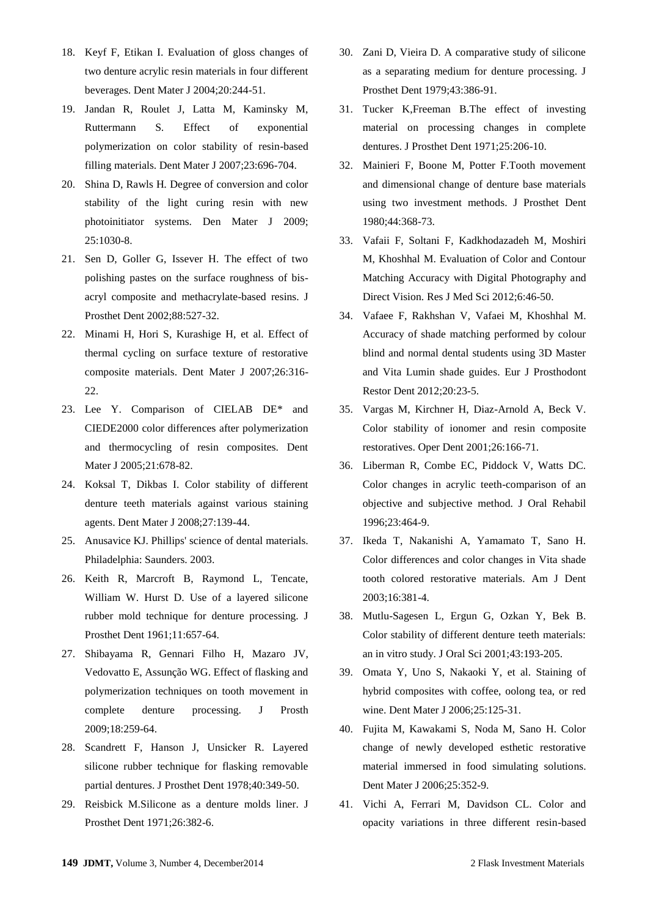- 18. Keyf F, Etikan I. Evaluation of gloss changes of two denture acrylic resin materials in four different beverages. Dent Mater J 2004;20:244-51.
- 19. Jandan R, Roulet J, Latta M, Kaminsky M, Ruttermann S*.* Effect of exponential polymerization on color stability of resin-based filling materials. Dent Mater J 2007;23:696-704.
- 20. Shina D, Rawls H*.* Degree of conversion and color stability of the light curing resin with new photoinitiator systems. Den Mater J 2009; 25:1030-8.
- 21. Sen D, Goller G, Issever H. The effect of two polishing pastes on the surface roughness of bisacryl composite and methacrylate-based resins. J Prosthet Dent 2002;88:527-32.
- 22. Minami H, Hori S, Kurashige H, et al. Effect of thermal cycling on surface texture of restorative composite materials. Dent Mater J 2007;26:316- 22.
- 23. Lee Y. Comparison of CIELAB DE\* and CIEDE2000 color differences after polymerization and thermocycling of resin composites. Dent Mater J 2005;21:678-82.
- 24. Koksal T, Dikbas I. Color stability of different denture teeth materials against various staining agents. Dent Mater J 2008;27:139-44.
- 25. Anusavice KJ. Phillips' science of dental materials. Philadelphia: Saunders. 2003.
- 26. Keith R, Marcroft B, Raymond L, Tencate, William W. Hurst D. Use of a layered silicone rubber mold technique for denture processing. J Prosthet Dent 1961;11:657-64.
- 27. Shibayama R, Gennari Filho H, Mazaro JV, Vedovatto E, Assunção WG. Effect of flasking and polymerization techniques on tooth movement in complete denture processing. J Prosth 2009;18:259-64.
- 28. Scandrett F, Hanson J, Unsicker R. Layered silicone rubber technique for flasking removable partial dentures. J Prosthet Dent 1978;40:349-50.
- 29. Reisbick M.Silicone as a denture molds liner. J Prosthet Dent 1971;26:382-6.
- 30. Zani D, Vieira D. A comparative study of silicone as a separating medium for denture processing. J Prosthet Dent 1979;43:386-91.
- 31. Tucker K,Freeman B.The effect of investing material on processing changes in complete dentures. J Prosthet Dent 1971;25:206-10.
- 32. Mainieri F, Boone M, Potter F.Tooth movement and dimensional change of denture base materials using two investment methods. J Prosthet Dent 1980;44:368-73.
- 33. Vafaii F, Soltani F, Kadkhodazadeh M, Moshiri M, Khoshhal M. Evaluation of Color and Contour Matching Accuracy with Digital Photography and Direct Vision. Res J Med Sci 2012;6:46-50.
- 34. Vafaee F, Rakhshan V, Vafaei M, Khoshhal M. Accuracy of shade matching performed by colour blind and normal dental students using 3D Master and Vita Lumin shade guides. Eur J Prosthodont Restor Dent 2012;20:23-5.
- 35. Vargas M, Kirchner H, Diaz-Arnold A, Beck V. Color stability of ionomer and resin composite restoratives. Oper Dent 2001;26:166-71.
- 36. Liberman R, Combe EC, Piddock V, Watts DC. Color changes in acrylic teeth-comparison of an objective and subjective method. J Oral Rehabil 1996;23:464-9.
- 37. Ikeda T, Nakanishi A, Yamamato T, Sano H. Color differences and color changes in Vita shade tooth colored restorative materials. Am J Dent 2003;16:381-4.
- 38. Mutlu-Sagesen L, Ergun G, Ozkan Y, Bek B. Color stability of different denture teeth materials: an in vitro study. J Oral Sci 2001;43:193-205.
- 39. Omata Y, Uno S, Nakaoki Y, et al. Staining of hybrid composites with coffee, oolong tea, or red wine. Dent Mater J 2006;25:125-31.
- 40. Fujita M, Kawakami S, Noda M, Sano H. Color change of newly developed esthetic restorative material immersed in food simulating solutions. Dent Mater J 2006;25:352-9.
- 41. Vichi A, Ferrari M, Davidson CL. Color and opacity variations in three different resin-based